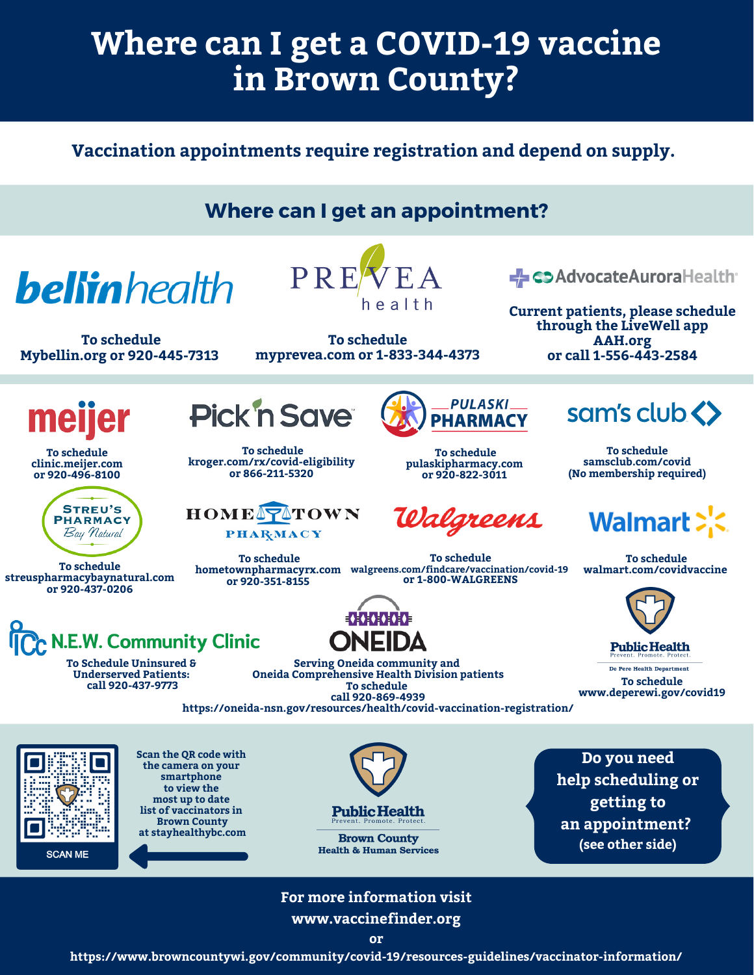# **Where can I get a COVID-19 vaccine in Brown County?**

**Vaccination appointments require registration and depend on supply.**

## **Where can I get an appointment?**

**bellin** health

**To schedule Mybellin.org or 920-445-7313**



**To schedule myprevea.com or 1-833-344-4373** Debtaronate Aurorallealth

**Current patients, please schedule through the LiveWell app AAH.org or call 1-556-443-2584**

meil

**To schedule clinic.meijer.com or 920-496-8100**



**To schedule streuspharmacybaynatural.com or 920-437-0206**



**To Schedule Uninsured & Underserved Patients: call 920-437-9773**



**To schedule kroger.com/rx/covid-eligibility or 866-211-5320**

**Pick n Save** 

**To schedule**

**or 920-351-8155**

**PHARMACY** 



**To schedule pulaskipharmacy.com or 920-822-3011**

Walgreens

**To schedule or 1-800-WALGREENS** sam's club <>

**To schedule [samsclub.com/covid](https://www.samsclub.com/pharmacy) (No membership required)**

## Walmart >'.

**To schedule [walmart.com/covidvaccine](https://www.samsclub.com/pharmacy)**



**Public Health** 

De Pere Health Department **To schedule [www.deperewi.gov/covid19](https://www.samsclub.com/pharmacy)**

**Serving Oneida community and Oneida Comprehensive Health Division patients To schedule call 920-869-4939**

**▐⋪⋕⋪⋕⋪⋕⋪⋕⋪⋕** 

**hometownpharmacyrx.com walgreens.com/findcare/vaccination/covid-19**

**[https://oneida-nsn.gov/resources/health/covid-vaccination-registration/](https://gcc02.safelinks.protection.outlook.com/?url=https%3A%2F%2Foneida-nsn.gov%2Fresources%2Fhealth%2Fcovid-vaccination-registration%2F&data=04%7C01%7CKatie.Ledvina%40browncountywi.gov%7C9df4f6e868464f5128fe08d8f9281c0f%7Cd4d3bbdf23b140e786d2ef5cd2bdb817%7C1%7C0%7C637533298350585840%7CUnknown%7CTWFpbGZsb3d8eyJWIjoiMC4wLjAwMDAiLCJQIjoiV2luMzIiLCJBTiI6Ik1haWwiLCJXVCI6Mn0%3D%7C1000&sdata=JMG3wfEPkKD%2BypaM01kMJM2rJqyO6OmST7JB9PBqaeU%3D&reserved=0)**



**Scan the QR code with the camera on your smartphone to view the most up to date list of vaccinators in Brown County at stayhealthybc.com**

**Public Health** 

**Brown County Health & Human Services** 

**Do you need help scheduling or getting to an appointment? (see other side)**

#### **For more information visit www.vaccinefinder.org**

**https://www.browncountywi.gov/community/covid-19/resources-guidelines/vaccinator-information/**